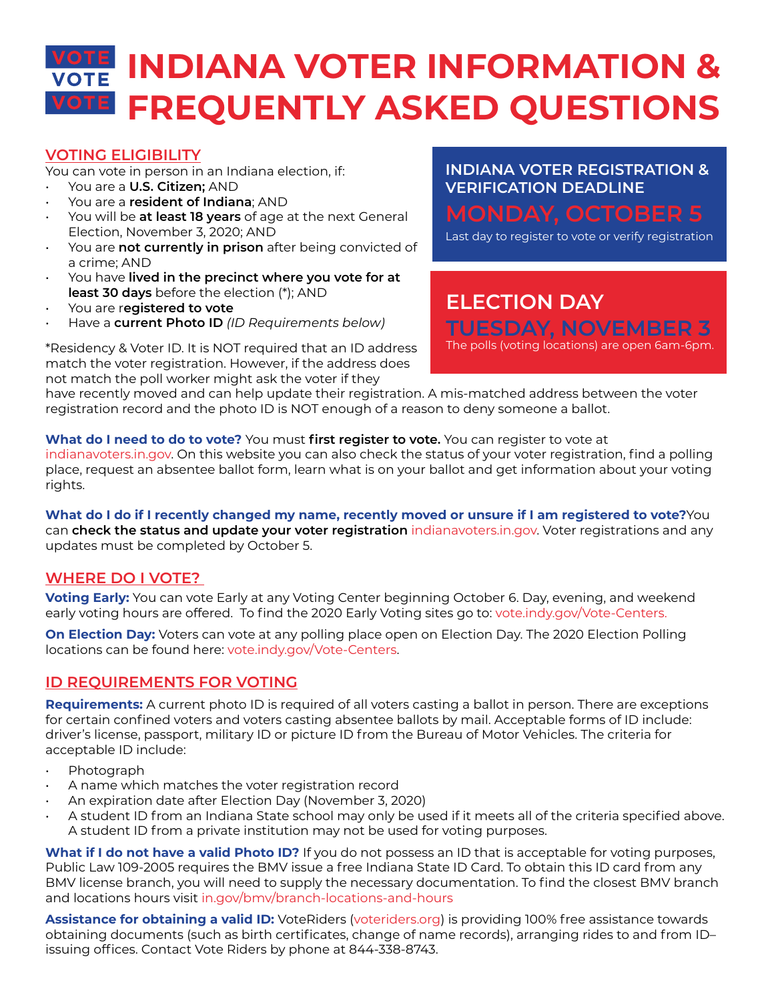# **INDIANA VOTER INFORMATION & FREQUENTLY ASKED QUESTIONS**

# **VOTING ELIGIBILITY**

You can vote in person in an Indiana election, if:

- You are a **U.S. Citizen;** AND
- You are a **resident of Indiana**; AND
- You will be **at least 18 years** of age at the next General Election, November 3, 2020; AND
- You are **not currently in prison** after being convicted of a crime; AND
- You have **lived in the precinct where you vote for at least 30 days** before the election (\*); AND
- You are r**egistered to vote**
- Have a **current Photo ID** *(ID Requirements below)*

\*Residency & Voter ID. It is NOT required that an ID address match the voter registration. However, if the address does not match the poll worker might ask the voter if they

# **INDIANA VOTER REGISTRATION & VERIFICATION DEADLINE**

Last day to register to vote or verify registration

# **ELECTION DAY TUESDAY, NOVEMBER 3** The polls (voting locations) are open 6am-6pm.

have recently moved and can help update their registration. A mis-matched address between the voter registration record and the photo ID is NOT enough of a reason to deny someone a ballot.

**What do I need to do to vote?** You must **first register to vote.** You can register to vote at [indianavoters.in.gov](http://indianavoters.in.gov). On this website you can also check the status of your voter registration, find a polling place, request an absentee ballot form, learn what is on your ballot and get information about your voting rights.

**What do I do if I recently changed my name, recently moved or unsure if I am registered to vote?**You can **check the status and update your voter registration** [indianavoters.in.gov.](http://indianavoters.in.gov) Voter registrations and any updates must be completed by October 5.

# **WHERE DO I VOTE?**

**Voting Early:** You can vote Early at any Voting Center beginning October 6. Day, evening, and weekend early voting hours are offered. To find the 2020 Early Voting sites go to: [vote.indy.gov/Vote-Centers.](http://vote.indy.gov/Vote-Centers)

**On Election Day:** Voters can vote at any polling place open on Election Day. The 2020 Election Polling locations can be found here: [vote.indy.gov/Vote-Centers.](http://vote.indy.gov/Vote-Centers)

# **ID REQUIREMENTS FOR VOTING**

**Requirements:** A current photo ID is required of all voters casting a ballot in person. There are exceptions for certain confined voters and voters casting absentee ballots by mail. Acceptable forms of ID include: driver's license, passport, military ID or picture ID from the Bureau of Motor Vehicles. The criteria for acceptable ID include:

- Photograph
- A name which matches the voter registration record
- An expiration date after Election Day (November 3, 2020)
- A student ID from an Indiana State school may only be used if it meets all of the criteria specified above. A student ID from a private institution may not be used for voting purposes.

**What if I do not have a valid Photo ID?** If you do not possess an ID that is acceptable for voting purposes, Public Law 109-2005 requires the BMV issue a free Indiana State ID Card. To obtain this ID card from any BMV license branch, you will need to supply the necessary documentation. To find the closest BMV branch and locations hours visit [in.gov/bmv/branch-locations-and-hours](http://in.gov/bmv/branch-locations-and-hours)

**Assistance for obtaining a valid ID:** VoteRiders ([voteriders.org\)](http://voteriders.org) is providing 100% free assistance towards obtaining documents (such as birth certificates, change of name records), arranging rides to and from ID– issuing offices. Contact Vote Riders by phone at 844-338-8743.